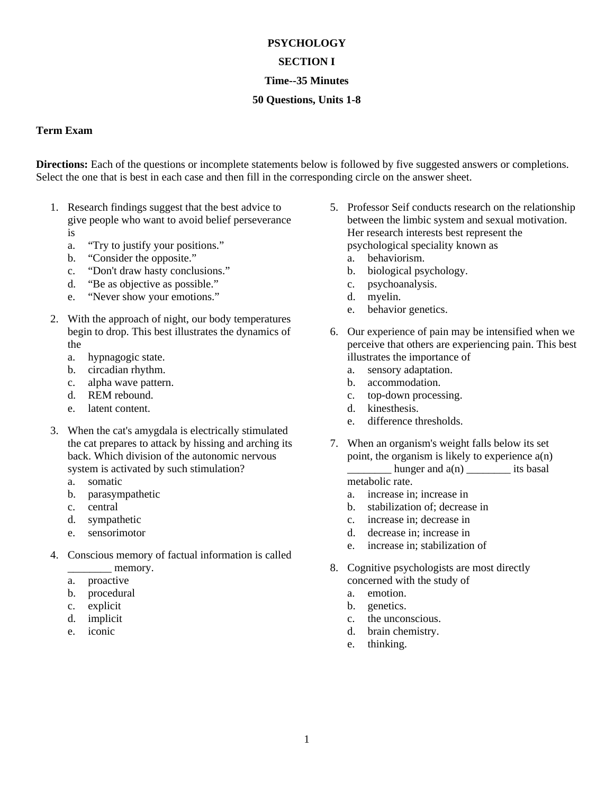## **PSYCHOLOGY SECTION I Time--35 Minutes**

# **50 Questions, Units 1-8**

### **Term Exam**

**Directions:** Each of the questions or incomplete statements below is followed by five suggested answers or completions. Select the one that is best in each case and then fill in the corresponding circle on the answer sheet.

- 1. Research findings suggest that the best advice to give people who want to avoid belief perseverance is
	- a. "Try to justify your positions."
	- b. "Consider the opposite."
	- c. "Don't draw hasty conclusions."
	- d. "Be as objective as possible."
	- e. "Never show your emotions."
- 2. With the approach of night, our body temperatures begin to drop. This best illustrates the dynamics of the
	- a. hypnagogic state.
	- b. circadian rhythm.
	- c. alpha wave pattern.
	- d. REM rebound.
	- e. latent content.
- 3. When the cat's amygdala is electrically stimulated the cat prepares to attack by hissing and arching its back. Which division of the autonomic nervous system is activated by such stimulation?
	- a. somatic
	- b. parasympathetic
	- c. central
	- d. sympathetic
	- e. sensorimotor
- 4. Conscious memory of factual information is called memory.
	- a. proactive
	- b. procedural
	- c. explicit
	- d. implicit
	- e. iconic
- 5. Professor Seif conducts research on the relationship between the limbic system and sexual motivation. Her research interests best represent the psychological speciality known as
	- a. behaviorism.
	- b. biological psychology.
	- c. psychoanalysis.
	- d. myelin.
	- e. behavior genetics.
- 6. Our experience of pain may be intensified when we perceive that others are experiencing pain. This best illustrates the importance of
	- a. sensory adaptation.
	- b. accommodation.
	- c. top-down processing.
	- d. kinesthesis.
	- e. difference thresholds.
- 7. When an organism's weight falls below its set point, the organism is likely to experience  $a(n)$ hunger and  $a(n)$  its basal metabolic rate.
	- a. increase in; increase in
	- b. stabilization of; decrease in
	- c. increase in; decrease in
	- d. decrease in; increase in
	- e. increase in; stabilization of
- 8. Cognitive psychologists are most directly concerned with the study of
	- a. emotion.
	- b. genetics.
	- c. the unconscious.
	- d. brain chemistry.
	- e. thinking.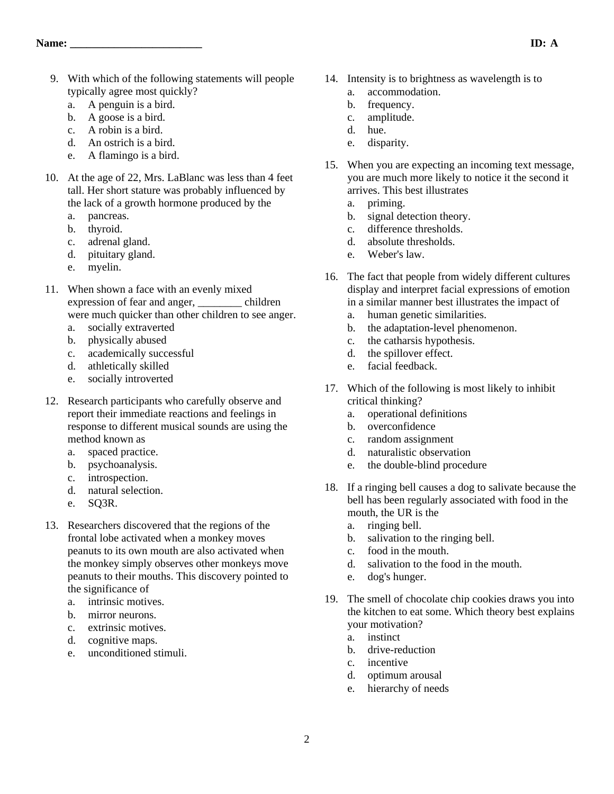- 9. With which of the following statements will people typically agree most quickly?
	- a. A penguin is a bird.
	- b. A goose is a bird.
	- c. A robin is a bird.
	- d. An ostrich is a bird.
	- e. A flamingo is a bird.
- 10. At the age of 22, Mrs. LaBlanc was less than 4 feet tall. Her short stature was probably influenced by the lack of a growth hormone produced by the
	- a. pancreas.
	- b. thyroid.
	- c. adrenal gland.
	- d. pituitary gland.
	- e. myelin.
- 11. When shown a face with an evenly mixed expression of fear and anger, \_\_\_\_\_\_\_\_ children were much quicker than other children to see anger.
	- a. socially extraverted
	- b. physically abused
	- c. academically successful
	- d. athletically skilled
	- e. socially introverted
- 12. Research participants who carefully observe and report their immediate reactions and feelings in response to different musical sounds are using the method known as
	- a. spaced practice.
	- b. psychoanalysis.
	- c. introspection.
	- d. natural selection.
	- e. SQ3R.
- 13. Researchers discovered that the regions of the frontal lobe activated when a monkey moves peanuts to its own mouth are also activated when the monkey simply observes other monkeys move peanuts to their mouths. This discovery pointed to the significance of
	- a. intrinsic motives.
	- b. mirror neurons.
	- c. extrinsic motives.
	- d. cognitive maps.
	- e. unconditioned stimuli.
- 14. Intensity is to brightness as wavelength is to a. accommodation.
	- b. frequency.
	- c. amplitude.
	- d. hue.
	- e. disparity.
- 15. When you are expecting an incoming text message, you are much more likely to notice it the second it arrives. This best illustrates
	- a. priming.
	- b. signal detection theory.
	- c. difference thresholds.
	- d. absolute thresholds.
	- e. Weber's law.
- 16. The fact that people from widely different cultures display and interpret facial expressions of emotion in a similar manner best illustrates the impact of
	- a. human genetic similarities.
	- b. the adaptation-level phenomenon.
	- c. the catharsis hypothesis.
	- d. the spillover effect.
	- e. facial feedback.
- 17. Which of the following is most likely to inhibit critical thinking?
	- a. operational definitions
	- b. overconfidence
	- c. random assignment
	- d. naturalistic observation
	- e. the double-blind procedure
- 18. If a ringing bell causes a dog to salivate because the bell has been regularly associated with food in the mouth, the UR is the
	- a. ringing bell.
	- b. salivation to the ringing bell.
	- c. food in the mouth.
	- d. salivation to the food in the mouth.
	- e. dog's hunger.
- 19. The smell of chocolate chip cookies draws you into the kitchen to eat some. Which theory best explains your motivation?
	- a. instinct
	- b. drive-reduction
	- c. incentive
	- d. optimum arousal
	- e. hierarchy of needs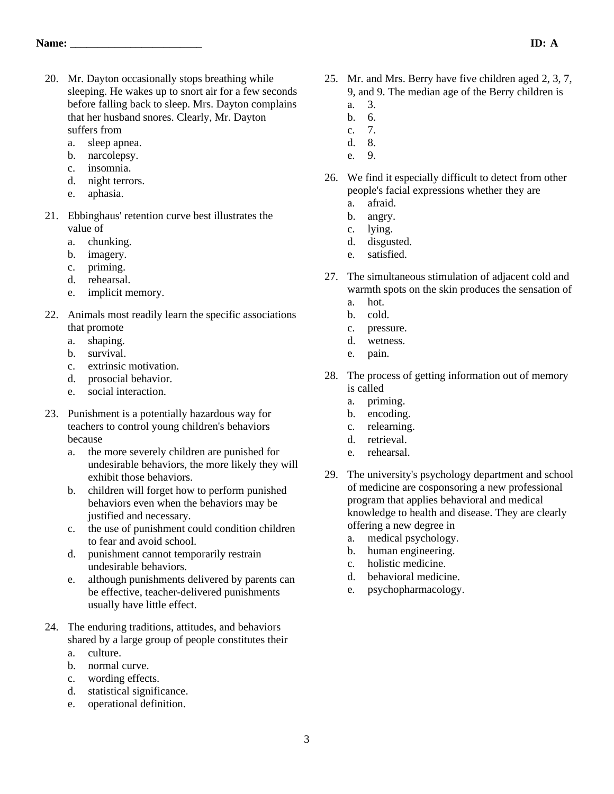- 20. Mr. Dayton occasionally stops breathing while sleeping. He wakes up to snort air for a few seconds before falling back to sleep. Mrs. Dayton complains that her husband snores. Clearly, Mr. Dayton suffers from
	- a. sleep apnea.
	- b. narcolepsy.
	- c. insomnia.
	- d. night terrors.
	- e. aphasia.
- 21. Ebbinghaus' retention curve best illustrates the value of
	- a. chunking.
	- b. imagery.
	- c. priming.
	- d. rehearsal.
	- e. implicit memory.
- 22. Animals most readily learn the specific associations that promote
	- a. shaping.
	- b. survival.
	- c. extrinsic motivation.
	- d. prosocial behavior.
	- e. social interaction.
- 23. Punishment is a potentially hazardous way for teachers to control young children's behaviors because
	- a. the more severely children are punished for undesirable behaviors, the more likely they will exhibit those behaviors.
	- b. children will forget how to perform punished behaviors even when the behaviors may be justified and necessary.
	- c. the use of punishment could condition children to fear and avoid school.
	- d. punishment cannot temporarily restrain undesirable behaviors.
	- e. although punishments delivered by parents can be effective, teacher-delivered punishments usually have little effect.
- 24. The enduring traditions, attitudes, and behaviors shared by a large group of people constitutes their
	- a. culture.
	- b. normal curve.
	- c. wording effects.
	- d. statistical significance.
	- e. operational definition.
- 25. Mr. and Mrs. Berry have five children aged 2, 3, 7, 9, and 9. The median age of the Berry children is
	- a. 3.
	- b. 6.
	- c. 7. d. 8.
	-
	- e. 9.
- 26. We find it especially difficult to detect from other people's facial expressions whether they are
	- a. afraid.
	- b. angry.
	- c. lying.
	- d. disgusted.
	- e. satisfied.
- 27. The simultaneous stimulation of adjacent cold and warmth spots on the skin produces the sensation of
	- a. hot.
	- b. cold.
	- c. pressure.
	- d. wetness.
	- e. pain.
- 28. The process of getting information out of memory is called
	- a. priming.
	- b. encoding.
	- c. relearning.
	- d. retrieval.
	- e. rehearsal.
- 29. The university's psychology department and school of medicine are cosponsoring a new professional program that applies behavioral and medical knowledge to health and disease. They are clearly offering a new degree in
	- a. medical psychology.
	- b. human engineering.
	- c. holistic medicine.
	- d. behavioral medicine.
	- e. psychopharmacology.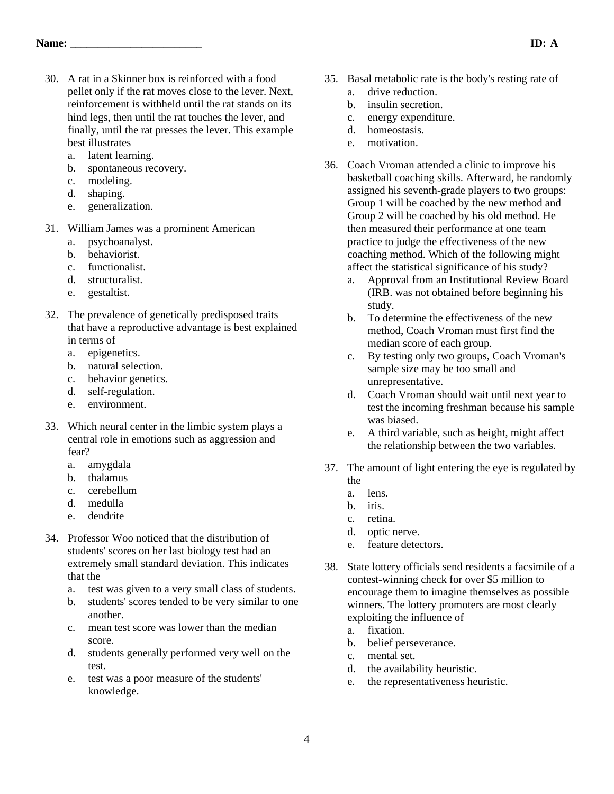- 30. A rat in a Skinner box is reinforced with a food pellet only if the rat moves close to the lever. Next, reinforcement is withheld until the rat stands on its hind legs, then until the rat touches the lever, and finally, until the rat presses the lever. This example best illustrates
	- a. latent learning.
	- b. spontaneous recovery.
	- c. modeling.
	- d. shaping.
	- e. generalization.
- 31. William James was a prominent American
	- a. psychoanalyst.
	- b. behaviorist.
	- c. functionalist.
	- d. structuralist.
	- e. gestaltist.
- 32. The prevalence of genetically predisposed traits that have a reproductive advantage is best explained in terms of
	- a. epigenetics.
	- b. natural selection.
	- c. behavior genetics.
	- d. self-regulation.
	- e. environment.
- 33. Which neural center in the limbic system plays a central role in emotions such as aggression and fear?
	- a. amygdala
	- b. thalamus
	- c. cerebellum
	- d. medulla
	- e. dendrite
- 34. Professor Woo noticed that the distribution of students' scores on her last biology test had an extremely small standard deviation. This indicates that the
	- a. test was given to a very small class of students.
	- b. students' scores tended to be very similar to one another.
	- c. mean test score was lower than the median score.
	- d. students generally performed very well on the test.
	- e. test was a poor measure of the students' knowledge.
- 35. Basal metabolic rate is the body's resting rate of
	- a. drive reduction.
	- b. insulin secretion.
	- c. energy expenditure.
	- d. homeostasis.
	- e. motivation.
- 36. Coach Vroman attended a clinic to improve his basketball coaching skills. Afterward, he randomly assigned his seventh-grade players to two groups: Group 1 will be coached by the new method and Group 2 will be coached by his old method. He then measured their performance at one team practice to judge the effectiveness of the new coaching method. Which of the following might affect the statistical significance of his study?
	- a. Approval from an Institutional Review Board (IRB. was not obtained before beginning his study.
	- b. To determine the effectiveness of the new method, Coach Vroman must first find the median score of each group.
	- c. By testing only two groups, Coach Vroman's sample size may be too small and unrepresentative.
	- d. Coach Vroman should wait until next year to test the incoming freshman because his sample was biased.
	- e. A third variable, such as height, might affect the relationship between the two variables.
- 37. The amount of light entering the eye is regulated by the
	- a. lens.
	- b. iris.
	- c. retina.
	- d. optic nerve.
	- e. feature detectors.
- 38. State lottery officials send residents a facsimile of a contest-winning check for over \$5 million to encourage them to imagine themselves as possible winners. The lottery promoters are most clearly exploiting the influence of
	- a. fixation.
	- b. belief perseverance.
	- c. mental set.
	- d. the availability heuristic.
	- e. the representativeness heuristic.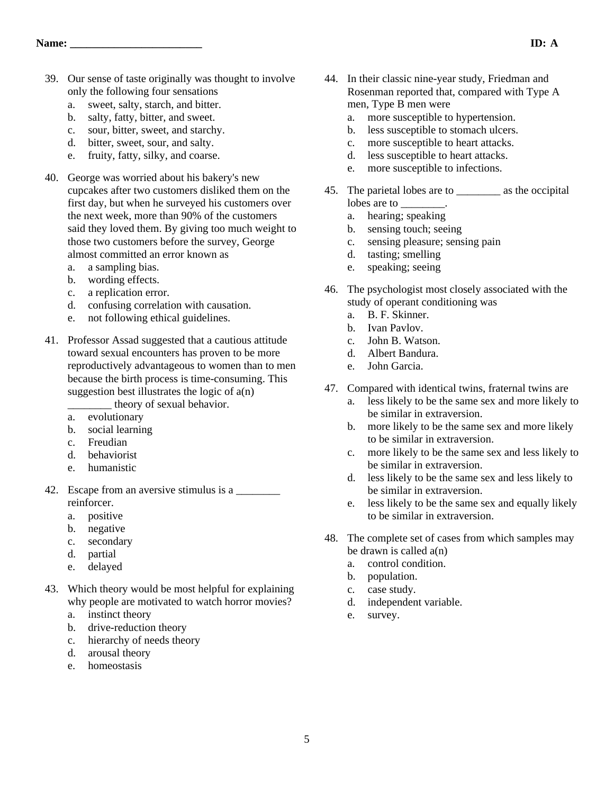- 39. Our sense of taste originally was thought to involve only the following four sensations
	- a. sweet, salty, starch, and bitter.
	- b. salty, fatty, bitter, and sweet.
	- c. sour, bitter, sweet, and starchy.
	- d. bitter, sweet, sour, and salty.
	- e. fruity, fatty, silky, and coarse.
- 40. George was worried about his bakery's new cupcakes after two customers disliked them on the first day, but when he surveyed his customers over the next week, more than 90% of the customers said they loved them. By giving too much weight to those two customers before the survey, George almost committed an error known as
	- a. a sampling bias.
	- b. wording effects.
	- c. a replication error.
	- d. confusing correlation with causation.
	- e. not following ethical guidelines.
- 41. Professor Assad suggested that a cautious attitude toward sexual encounters has proven to be more reproductively advantageous to women than to men because the birth process is time-consuming. This suggestion best illustrates the logic of  $a(n)$ \_\_\_\_\_\_\_\_ theory of sexual behavior.
	- a. evolutionary
	- b. social learning
	- c. Freudian
	-
	- d. behaviorist
	- e. humanistic
- 42. Escape from an aversive stimulus is a reinforcer.
	- a. positive
	- b. negative
	- c. secondary
	- d. partial
	- e. delayed
- 43. Which theory would be most helpful for explaining why people are motivated to watch horror movies?
	- a. instinct theory
	- b. drive-reduction theory
	- c. hierarchy of needs theory
	- d. arousal theory
	- e. homeostasis
- 44. In their classic nine-year study, Friedman and Rosenman reported that, compared with Type A men, Type B men were
	- a. more susceptible to hypertension.
	- b. less susceptible to stomach ulcers.
	- c. more susceptible to heart attacks.
	- d. less susceptible to heart attacks.
	- e. more susceptible to infections.
- 45. The parietal lobes are to \_\_\_\_\_\_\_\_ as the occipital lobes are to  $\qquad \qquad$ .
	- a. hearing; speaking
	- b. sensing touch; seeing
	- c. sensing pleasure; sensing pain
	- d. tasting; smelling
	- e. speaking; seeing
- 46. The psychologist most closely associated with the study of operant conditioning was
	- a. B. F. Skinner.
	- b. Ivan Pavlov.
	- c. John B. Watson.
	- d. Albert Bandura.
	- e. John Garcia.
- 47. Compared with identical twins, fraternal twins are
	- a. less likely to be the same sex and more likely to be similar in extraversion.
	- b. more likely to be the same sex and more likely to be similar in extraversion.
	- c. more likely to be the same sex and less likely to be similar in extraversion.
	- d. less likely to be the same sex and less likely to be similar in extraversion.
	- e. less likely to be the same sex and equally likely to be similar in extraversion.
- 48. The complete set of cases from which samples may be drawn is called a(n)
	- a. control condition.
	- b. population.
	- c. case study.
	- d. independent variable.
	- e. survey.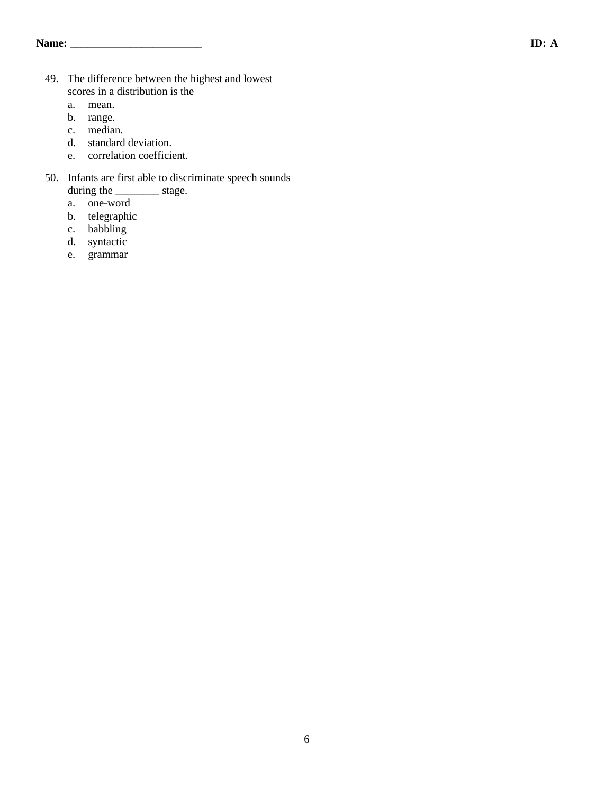- 49. The difference between the highest and lowest scores in a distribution is the
	- a. mean.
	- b. range.
	- c. median.
	- d. standard deviation.
	- e. correlation coefficient.
- 50. Infants are first able to discriminate speech sounds during the \_\_\_\_\_\_\_\_\_\_\_ stage.
	- a. one-word
	- b. telegraphic
	- c. babbling
	- d. syntactic
	- e. grammar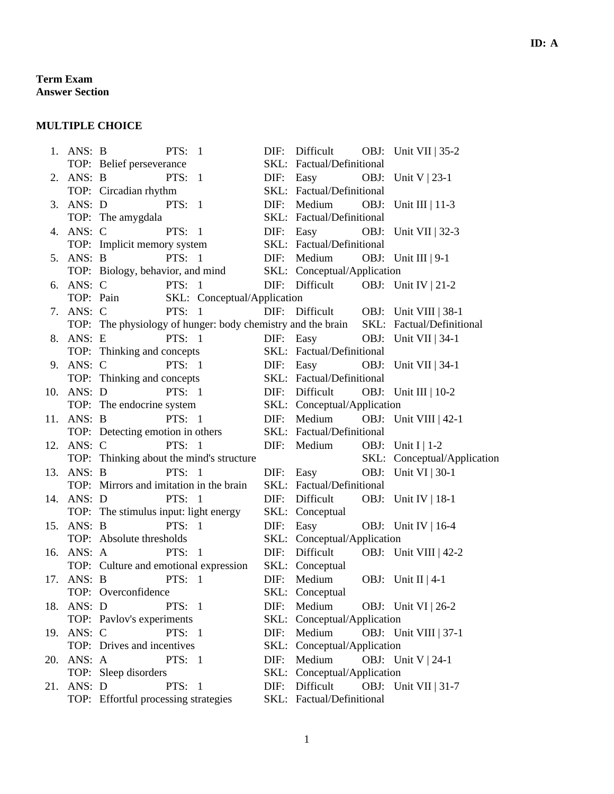#### **Term Exam Answer Section**

#### **MULTIPLE CHOICE**

|     | 1. ANS: B  | PTS: $1$                                                     | DIF: | Difficult OBJ: Unit VII   35-2                                                                                                              |  |  |  |
|-----|------------|--------------------------------------------------------------|------|---------------------------------------------------------------------------------------------------------------------------------------------|--|--|--|
|     |            | TOP: Belief perseverance                                     |      | SKL: Factual/Definitional                                                                                                                   |  |  |  |
|     | 2. ANS: B  | PTS: $1$                                                     | DIF: | Easy OBJ: Unit $V   23-1$                                                                                                                   |  |  |  |
|     |            | TOP: Circadian rhythm                                        |      | SKL: Factual/Definitional                                                                                                                   |  |  |  |
| 3.  | ANS: D     | PTS: 1                                                       | DIF: | Medium OBJ: Unit III   $11-3$                                                                                                               |  |  |  |
|     |            | TOP: The amygdala                                            |      | SKL: Factual/Definitional                                                                                                                   |  |  |  |
| 4.  | ANS: C     | <b>PTS: 1</b>                                                | DIF: | Easy OBJ: Unit VII   32-3                                                                                                                   |  |  |  |
|     |            | TOP: Implicit memory system                                  |      | SKL: Factual/Definitional                                                                                                                   |  |  |  |
|     | 5. ANS: B  | PTS: $1$                                                     |      | DIF: Medium OBJ: Unit III   9-1                                                                                                             |  |  |  |
|     |            | TOP: Biology, behavior, and mind SKL: Conceptual/Application |      |                                                                                                                                             |  |  |  |
|     | 6. ANS: C  | PTS: $1$                                                     |      | DIF: Difficult OBJ: Unit IV   21-2                                                                                                          |  |  |  |
|     |            | SKL: Conceptual/Application<br>TOP: Pain                     |      |                                                                                                                                             |  |  |  |
|     | 7. ANS: C  |                                                              |      |                                                                                                                                             |  |  |  |
|     |            |                                                              |      | ANS: C PTS: 1 DIF: Difficult OBJ: Unit VIII   38-1<br>TOP: The physiology of hunger: body chemistry and the brain SKL: Factual/Definitional |  |  |  |
| 8.  | ANS: E     | PTS: $1$                                                     |      | DIF: Easy OBJ: Unit VII   34-1                                                                                                              |  |  |  |
|     |            | TOP: Thinking and concepts                                   |      | SKL: Factual/Definitional                                                                                                                   |  |  |  |
| 9.  | ANS: C     | <b>PTS:</b> 1                                                |      | DIF: Easy OBJ: Unit VII   34-1                                                                                                              |  |  |  |
|     |            | TOP: Thinking and concepts                                   |      | SKL: Factual/Definitional                                                                                                                   |  |  |  |
| 10. | ANS: D     | PTS: $1$                                                     | DIF: | Difficult OBJ: Unit III   $10-2$                                                                                                            |  |  |  |
|     |            | TOP: The endocrine system                                    |      | SKL: Conceptual/Application                                                                                                                 |  |  |  |
|     | 11. ANS: B | PTS: $1$                                                     |      | DIF: Medium OBJ: Unit VIII   42-1                                                                                                           |  |  |  |
|     |            | TOP: Detecting emotion in others                             |      | SKL: Factual/Definitional                                                                                                                   |  |  |  |
| 12. | ANS: C     | <b>PTS: 1</b>                                                | DIF: | Medium OBJ: Unit I   $1-2$                                                                                                                  |  |  |  |
|     |            | TOP: Thinking about the mind's structure                     |      | SKL: Conceptual/Application                                                                                                                 |  |  |  |
| 13. | ANS: B     | PTS: $1$                                                     | DIF: | Easy<br>OBJ: Unit VI   30-1                                                                                                                 |  |  |  |
|     |            | TOP: Mirrors and imitation in the brain                      |      | SKL: Factual/Definitional                                                                                                                   |  |  |  |
|     | 14. ANS: D | PTS: $1$                                                     | DIF: | Difficult<br>OBJ: Unit IV   18-1                                                                                                            |  |  |  |
|     |            | TOP: The stimulus input: light energy                        |      | SKL: Conceptual                                                                                                                             |  |  |  |
| 15. | ANS: B     | PTS: $1$                                                     | DIF: | Easy OBJ: Unit IV   16-4                                                                                                                    |  |  |  |
|     |            | TOP: Absolute thresholds                                     |      | SKL: Conceptual/Application                                                                                                                 |  |  |  |
|     | 16. ANS: A | PTS: $1$                                                     |      | DIF: Difficult OBJ: Unit VIII   42-2                                                                                                        |  |  |  |
|     |            | TOP: Culture and emotional expression SKL: Conceptual        |      |                                                                                                                                             |  |  |  |
| 17. | ANS: B     | <b>PTS: 1</b>                                                | DIF: | Medium OBJ: Unit II   4-1                                                                                                                   |  |  |  |
|     |            | TOP: Overconfidence                                          |      | SKL: Conceptual                                                                                                                             |  |  |  |
|     | 18. ANS: D | PTS: $1$                                                     |      | DIF: Medium<br>OBJ: Unit VI   26-2                                                                                                          |  |  |  |
|     |            | TOP: Pavlov's experiments                                    |      | SKL: Conceptual/Application                                                                                                                 |  |  |  |
| 19. | ANS: C     | PTS: $1$                                                     | DIF: | Medium<br>OBJ: Unit VIII   $37-1$                                                                                                           |  |  |  |
|     |            | TOP: Drives and incentives                                   | SKL: | Conceptual/Application                                                                                                                      |  |  |  |
|     | 20. ANS: A | PTS: $1$                                                     | DIF: | Medium<br>OBJ: Unit $V$   24-1                                                                                                              |  |  |  |
|     |            | TOP: Sleep disorders                                         |      | SKL: Conceptual/Application                                                                                                                 |  |  |  |
| 21. | ANS: D     | PTS: $1$                                                     | DIF: | Difficult<br>OBJ: Unit VII   31-7                                                                                                           |  |  |  |
|     |            | TOP: Effortful processing strategies                         |      | SKL: Factual/Definitional                                                                                                                   |  |  |  |
|     |            |                                                              |      |                                                                                                                                             |  |  |  |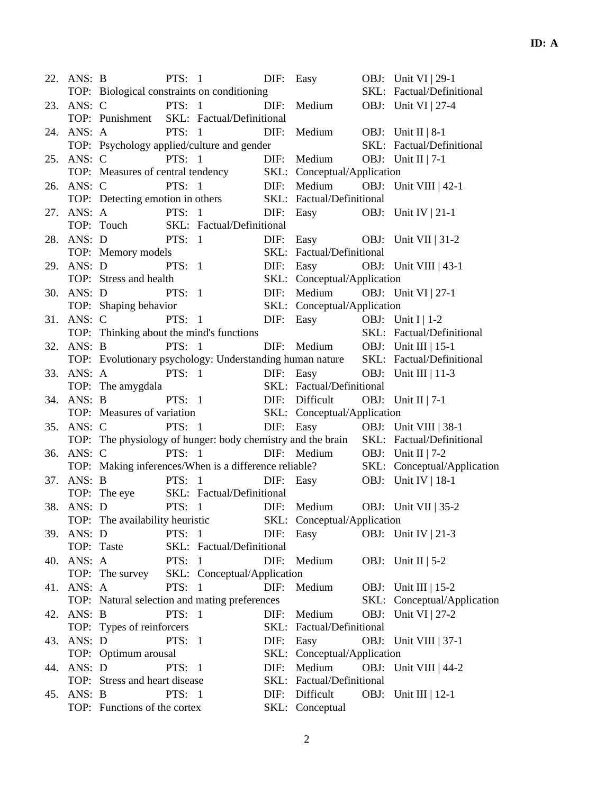|     | 22. ANS: B |                                             |          | PTS: 1                                        |      | DIF: Easy                                                   |  | OBJ: Unit VI   29-1                                                                                                                  |  |
|-----|------------|---------------------------------------------|----------|-----------------------------------------------|------|-------------------------------------------------------------|--|--------------------------------------------------------------------------------------------------------------------------------------|--|
|     |            | TOP: Biological constraints on conditioning |          |                                               |      |                                                             |  | SKL: Factual/Definitional                                                                                                            |  |
|     | 23. ANS: C | <b>PTS:</b> 1                               |          |                                               |      | DIF: Medium                                                 |  | OBJ: Unit VI   27-4                                                                                                                  |  |
|     |            |                                             |          | TOP: Punishment SKL: Factual/Definitional     |      |                                                             |  |                                                                                                                                      |  |
|     | 24. ANS: A | <b>PTS:</b> 1                               |          |                                               | DIF: | Medium OBJ: Unit II   8-1                                   |  |                                                                                                                                      |  |
|     |            |                                             |          | TOP: Psychology applied/culture and gender    |      |                                                             |  | SKL: Factual/Definitional                                                                                                            |  |
| 25. | ANS: C     |                                             | PTS: $1$ |                                               |      | DIF: Medium OBJ: Unit II   $7-1$                            |  |                                                                                                                                      |  |
|     |            |                                             |          |                                               |      |                                                             |  | TOP: Measures of central tendency<br>ANS: C PTS: 1 DIF: Medium OBJ: Unit VIII   42-1                                                 |  |
|     | 26. ANS: C |                                             |          |                                               |      |                                                             |  |                                                                                                                                      |  |
|     |            |                                             |          |                                               |      | TOP: Detecting emotion in others SKL: Factual/Definitional  |  |                                                                                                                                      |  |
|     | 27. ANS: A | <b>PTS:</b> 1                               |          |                                               |      |                                                             |  | DIF: Easy OBJ: Unit IV   21-1                                                                                                        |  |
|     |            |                                             |          | TOP: Touch SKL: Factual/Definitional          |      |                                                             |  |                                                                                                                                      |  |
|     |            |                                             |          | 28. ANS: D PTS: 1                             |      |                                                             |  | DIF: Easy OBJ: Unit VII   31-2                                                                                                       |  |
|     |            | TOP: Memory models                          |          |                                               |      | SKL: Factual/Definitional                                   |  |                                                                                                                                      |  |
| 29. | ANS: D     | <b>PTS:</b> 1                               |          |                                               | DIF: |                                                             |  | Easy OBJ: Unit VIII   43-1                                                                                                           |  |
|     |            | TOP: Stress and health                      |          |                                               |      | SKL: Conceptual/Application                                 |  |                                                                                                                                      |  |
|     | 30. ANS: D |                                             |          |                                               |      |                                                             |  | DIF: Medium OBJ: Unit VI   27-1                                                                                                      |  |
|     |            | TOP: Shaping behavior                       |          | SS and nearer<br>PTS: 1<br>ping behavior      |      | SKL: Conceptual/Application                                 |  |                                                                                                                                      |  |
| 31. | ANS: C     | <b>PTS:</b> 1                               |          |                                               |      | DIF: Easy OBJ: Unit I   1-2                                 |  |                                                                                                                                      |  |
|     |            |                                             |          | TOP: Thinking about the mind's functions      |      |                                                             |  | SKL: Factual/Definitional                                                                                                            |  |
|     |            | 32. ANS: B PTS: 1                           |          |                                               |      |                                                             |  |                                                                                                                                      |  |
|     |            |                                             |          |                                               |      |                                                             |  | ANS: B PTS: 1 DIF: Medium OBJ: Unit III   15-1<br>TOP: Evolutionary psychology: Understanding human nature SKL: Factual/Definitional |  |
| 33. |            |                                             |          |                                               |      |                                                             |  | ANS: A PTS: 1 DIF: Easy OBJ: Unit III   11-3                                                                                         |  |
|     |            | TOP: The amygdala                           |          |                                               |      | SKL: Factual/Definitional                                   |  |                                                                                                                                      |  |
|     | 34. ANS: B |                                             |          |                                               |      | PTS: 1 DIF: Difficult OBJ: Unit II   7-1                    |  |                                                                                                                                      |  |
|     |            |                                             |          |                                               |      | TOP: Measures of variation SKL: Conceptual/Application      |  |                                                                                                                                      |  |
|     | 35. ANS: C |                                             | PTS: 1   |                                               |      |                                                             |  |                                                                                                                                      |  |
|     |            |                                             |          |                                               |      |                                                             |  | DIF: Easy OBJ: Unit VIII   38-1<br>TOP: The physiology of hunger: body chemistry and the brain SKL: Factual/Definitional             |  |
|     | ANS: C     |                                             | PTS: $1$ |                                               |      | DIF: Medium OBJ: Unit II   $7-2$                            |  |                                                                                                                                      |  |
| 36. |            |                                             |          |                                               |      |                                                             |  |                                                                                                                                      |  |
|     |            |                                             |          |                                               |      |                                                             |  | TOP: Making inferences/When is a difference reliable? SKL: Conceptual/Application                                                    |  |
| 37. |            |                                             |          |                                               |      |                                                             |  | ANS: B PTS: 1 DIF: Easy OBJ: Unit IV   18-1                                                                                          |  |
|     |            |                                             |          | TOP: The eye SKL: Factual/Definitional        |      |                                                             |  |                                                                                                                                      |  |
| 38. | ANS: D     |                                             |          |                                               |      |                                                             |  | PTS: 1 DIF: Medium OBJ: Unit VII   35-2                                                                                              |  |
|     |            |                                             |          |                                               |      | TOP: The availability heuristic SKL: Conceptual/Application |  |                                                                                                                                      |  |
|     | 39. ANS: D |                                             | PTS: 1   |                                               |      | DIF: Easy                                                   |  | OBJ: Unit IV   21-3                                                                                                                  |  |
|     |            | TOP: Taste                                  |          | SKL: Factual/Definitional                     |      |                                                             |  |                                                                                                                                      |  |
| 40. | ANS: A     |                                             | PTS: $1$ |                                               |      | DIF: Medium                                                 |  | OBJ: Unit II   $5-2$                                                                                                                 |  |
|     |            | TOP: The survey                             |          | SKL: Conceptual/Application                   |      |                                                             |  |                                                                                                                                      |  |
| 41. | ANS: A     |                                             | PTS: 1   |                                               | DIF: | Medium                                                      |  | OBJ: Unit III   15-2                                                                                                                 |  |
|     |            |                                             |          | TOP: Natural selection and mating preferences |      |                                                             |  | SKL: Conceptual/Application                                                                                                          |  |
| 42. | ANS: B     |                                             | PTS: 1   |                                               | DIF: | Medium                                                      |  | <b>OBJ:</b> Unit VI   27-2                                                                                                           |  |
|     |            | TOP: Types of reinforcers                   |          |                                               |      | SKL: Factual/Definitional                                   |  |                                                                                                                                      |  |
|     | 43. ANS: D |                                             | PTS: $1$ |                                               |      | DIF: Easy                                                   |  | OBJ: Unit VIII   $37-1$                                                                                                              |  |
|     |            | TOP: Optimum arousal                        |          |                                               |      | SKL: Conceptual/Application                                 |  |                                                                                                                                      |  |
|     | 44. ANS: D |                                             | PTS: 1   |                                               | DIF: | Medium                                                      |  | OBJ: Unit VIII   44-2                                                                                                                |  |
|     |            | TOP: Stress and heart disease               |          |                                               |      | SKL: Factual/Definitional                                   |  |                                                                                                                                      |  |
| 45. | ANS: B     |                                             | PTS: $1$ |                                               | DIF: | Difficult                                                   |  | OBJ: Unit III   $12-1$                                                                                                               |  |
|     |            | TOP: Functions of the cortex                |          |                                               |      | SKL: Conceptual                                             |  |                                                                                                                                      |  |
|     |            |                                             |          |                                               |      |                                                             |  |                                                                                                                                      |  |